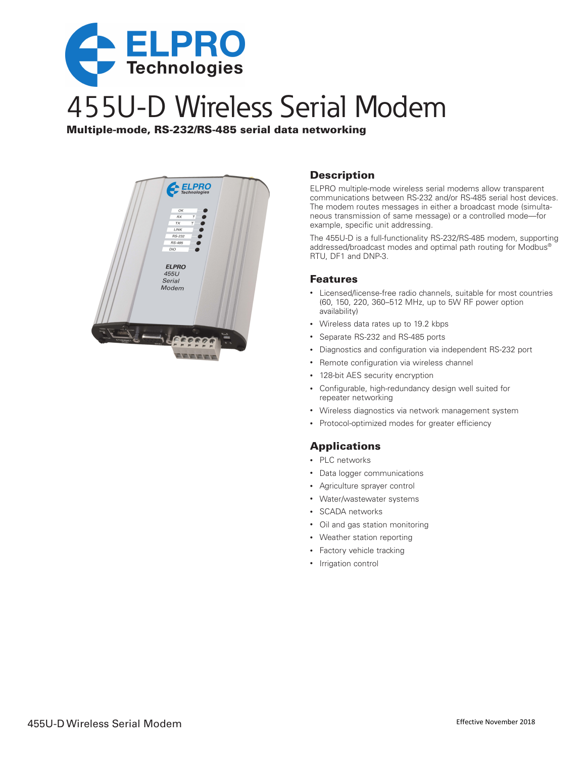

# 455U-D Wireless Serial Modem

Multiple-mode, RS-232/RS-485 serial data networking



#### **Description**

ELPRO multiple-mode wireless serial modems allow transparent communications between RS-232 and/or RS-485 serial host devices. The modem routes messages in either a broadcast mode (simultaneous transmission of same message) or a controlled mode—for example, specific unit addressing.

The 455U-D is a full-functionality RS-232/RS-485 modem, supporting addressed/broadcast modes and optimal path routing for Modbus® RTU, DF1 and DNP-3.

#### Features

- Licensed/license-free radio channels, suitable for most countries (60, 150, 220, 360–512 MHz, up to 5W RF power option availability)
- Wireless data rates up to 19.2 kbps
- Separate RS-232 and RS-485 ports
- Diagnostics and configuration via independent RS-232 port
- Remote configuration via wireless channel
- 128-bit AES security encryption
- Configurable, high-redundancy design well suited for repeater networking
- Wireless diagnostics via network management system
- Protocol-optimized modes for greater efficiency

### Applications

- PLC networks
- Data logger communications
- Agriculture sprayer control
- Water/wastewater systems
- SCADA networks
- Oil and gas station monitoring
- Weather station reporting
- Factory vehicle tracking
- Irrigation control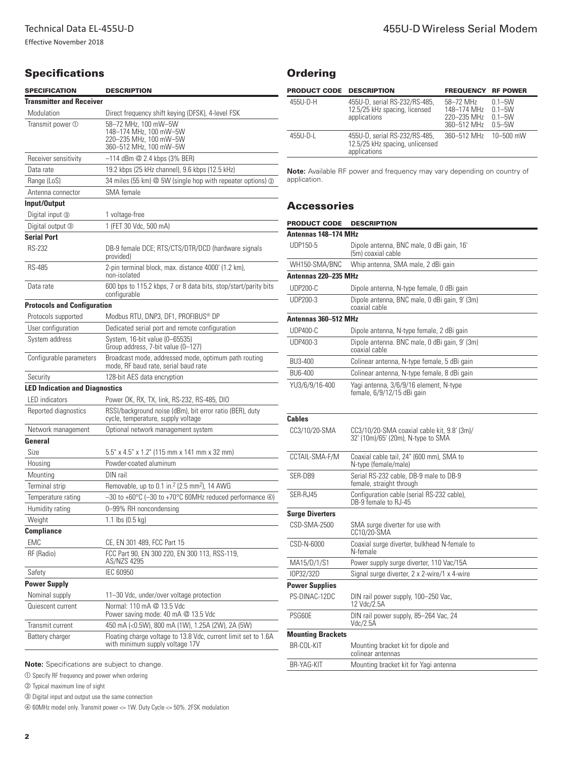### **Specifications**

| <b>SPECIFICATION</b>                  | <b>DESCRIPTION</b>                                                                                 |
|---------------------------------------|----------------------------------------------------------------------------------------------------|
| <b>Transmitter and Receiver</b>       |                                                                                                    |
| Modulation                            | Direct frequency shift keying (DFSK), 4-level FSK                                                  |
| Transmit power 1                      | 58-72 MHz, 100 mW-5W<br>148-174 MHz, 100 mW-5W<br>220-235 MHz, 100 mW-5W<br>360-512 MHz, 100 mW-5W |
| Receiver sensitivity                  | $-114$ dBm $@$ 2.4 kbps (3% BER)                                                                   |
| Data rate                             | 19.2 kbps (25 kHz channel), 9.6 kbps (12.5 kHz)                                                    |
| Range (LoS)                           | 34 miles (55 km) @ 5W (single hop with repeater options) @                                         |
| Antenna connector                     | SMA female                                                                                         |
| Input/Output                          |                                                                                                    |
| Digital input 3                       | 1 voltage-free                                                                                     |
| Digital output 3                      | 1 (FET 30 Vdc, 500 mA)                                                                             |
| <b>Serial Port</b>                    |                                                                                                    |
| <b>RS-232</b>                         | DB-9 female DCE; RTS/CTS/DTR/DCD (hardware signals<br>provided)                                    |
| <b>RS-485</b>                         | 2-pin terminal block, max. distance 4000' (1.2 km),<br>non-isolated                                |
| Data rate                             | 600 bps to 115.2 kbps, 7 or 8 data bits, stop/start/parity bits<br>configurable                    |
| <b>Protocols and Configuration</b>    |                                                                                                    |
| Protocols supported                   | Modbus RTU, DNP3, DF1, PROFIBUS® DP                                                                |
| User configuration                    | Dedicated serial port and remote configuration                                                     |
| System address                        | System, 16-bit value (0-65535)<br>Group address, 7-bit value (0-127)                               |
| Configurable parameters               | Broadcast mode, addressed mode, optimum path routing<br>mode, RF baud rate, serial baud rate       |
| Security                              | 128-bit AES data encryption                                                                        |
| <b>LED Indication and Diagnostics</b> |                                                                                                    |
| <b>LED</b> indicators                 | Power OK, RX, TX, link, RS-232, RS-485, DIO                                                        |
| Reported diagnostics                  | RSSI/background noise (dBm), bit error ratio (BER), duty<br>cycle, temperature, supply voltage     |
| Network management                    | Optional network management system                                                                 |
| General                               |                                                                                                    |
| Size                                  | 5.5" x 4.5" x 1.2" (115 mm x 141 mm x 32 mm)                                                       |
| Housing                               | Powder-coated aluminum                                                                             |
| Mounting                              | DIN rail                                                                                           |
| Terminal strip                        | Removable, up to 0.1 in. <sup>2</sup> (2.5 mm <sup>2</sup> ), 14 AWG                               |
| Temperature rating                    | $-30$ to +60 $^{\circ}$ C (-30 to +70 $^{\circ}$ C 60MHz reduced performance 4)                    |
| Humidity rating                       | 0-99% RH noncondensing                                                                             |
| Weight                                | 1.1 lbs $(0.5 \text{ kg})$                                                                         |
| Compliance                            |                                                                                                    |
| <b>EMC</b>                            | CE, EN 301 489, FCC Part 15                                                                        |
| RF (Radio)                            | FCC Part 90, EN 300 220, EN 300 113, RSS-119,<br>AS/NZS 4295                                       |
| Safety                                | <b>IEC 60950</b>                                                                                   |
| <b>Power Supply</b>                   |                                                                                                    |
| Nominal supply                        | 11-30 Vdc, under/over voltage protection                                                           |
| Quiescent current                     | Normal: 110 mA @ 13.5 Vdc<br>Power saving mode: 40 mA @ 13.5 Vdc                                   |
| Transmit current                      | 450 mA (<0.5W), 800 mA (1W), 1.25A (2W), 2A (5W)                                                   |
| Battery charger                       | Floating charge voltage to 13.8 Vdc, current limit set to 1.6A<br>with minimum supply voltage 17V  |

| <b>Ordering</b> |
|-----------------|
|                 |

| <b>PRODUCT CODE DESCRIPTION</b> |                                                                                  | <b>FREQUENCY RF POWER</b>                              |                                                      |
|---------------------------------|----------------------------------------------------------------------------------|--------------------------------------------------------|------------------------------------------------------|
| 455U-D-H                        | 455U-D, serial RS-232/RS-485,<br>12.5/25 kHz spacing, licensed<br>applications   | 58-72 MHz<br>148-174 MHz<br>220-235 MHz<br>360-512 MHz | $0.1 - 5W$<br>$0.1 - 5W$<br>$0.1 - 5W$<br>$0.5 - 5W$ |
| $455U-D-L$                      | 455U-D, serial RS-232/RS-485,<br>12.5/25 kHz spacing, unlicensed<br>applications | 360-512 MHz                                            | 10–500 mW                                            |

**Note:** Available RF power and frequency may vary depending on country of application.

### **Accessories**

| <b>PRODUCT CODE</b>      | <b>DESCRIPTION</b>                                                                  |  |  |
|--------------------------|-------------------------------------------------------------------------------------|--|--|
| Antennas 148-174 MHz     |                                                                                     |  |  |
| UDP150-5                 | Dipole antenna, BNC male, 0 dBi gain, 16'<br>(5m) coaxial cable                     |  |  |
| WH150-SMA/BNC            | Whip antenna, SMA male, 2 dBi gain                                                  |  |  |
| Antennas 220-235 MHz     |                                                                                     |  |  |
| <b>UDP200-C</b>          | Dipole antenna, N-type female, 0 dBi gain                                           |  |  |
| UDP200-3                 | Dipole antenna, BNC male, 0 dBi gain, 9' (3m)<br>coaxial cable                      |  |  |
| Antennas 360-512 MHz     |                                                                                     |  |  |
| <b>UDP400-C</b>          | Dipole antenna, N-type female, 2 dBi gain                                           |  |  |
| UDP400-3                 | Dipole antenna. BNC male, 0 dBi gain, 9' (3m)<br>coaxial cable                      |  |  |
| BU3-400                  | Colinear antenna, N-type female, 5 dBi gain                                         |  |  |
| BU6-400                  | Colinear antenna, N-type female, 8 dBi gain                                         |  |  |
| YU3/6/9/16-400           | Yagi antenna, 3/6/9/16 element, N-type<br>female, 6/9/12/15 dBi gain                |  |  |
| <b>Cables</b>            |                                                                                     |  |  |
| CC3/10/20-SMA            | $CC3/10/20-SMA coaxial cable kit, 9.8' (3m)/$<br>32' (10m)/65' (20m), N-type to SMA |  |  |
| CCTAIL-SMA-F/M           | Coaxial cable tail, 24" (600 mm), SMA to<br>N-type (female/male)                    |  |  |
| SER-DB9                  | Serial RS-232 cable, DB-9 male to DB-9<br>female, straight through                  |  |  |
| SER-RJ45                 | Configuration cable (serial RS-232 cable),<br>DB-9 female to RJ-45                  |  |  |
| <b>Surge Diverters</b>   |                                                                                     |  |  |
| CSD-SMA-2500             | SMA surge diverter for use with<br>CC10/20-SMA                                      |  |  |
| CSD-N-6000               | Coaxial surge diverter, bulkhead N-female to<br>N-female                            |  |  |
| MA15/D/1/S1              | Power supply surge diverter, 110 Vac/15A                                            |  |  |
| IOP32/32D                | Signal surge diverter, 2 x 2-wire/1 x 4-wire                                        |  |  |
| <b>Power Supplies</b>    |                                                                                     |  |  |
| PS-DINAC-12DC            | DIN rail power supply, 100-250 Vac,<br>12 Vdc/2.5A                                  |  |  |
| PSG60E                   | DIN rail power supply, 85-264 Vac, 24<br>Vdc/2.5A                                   |  |  |
| <b>Mounting Brackets</b> |                                                                                     |  |  |
| BR-COL-KIT               | Mounting bracket kit for dipole and<br>colinear antennas                            |  |  |
| <b>BR-YAG-KIT</b>        | Mounting bracket kit for Yagi antenna                                               |  |  |

**Note:** Specifications are subject to change.

 $\circledR$  Specify RF frequency and power when ordering

b Typical maximum line of sight

**3** Digital input and output use the same connection

d 60MHz model only. Transmit power <= 1W. Duty Cycle <= 50%. 2FSK modulation